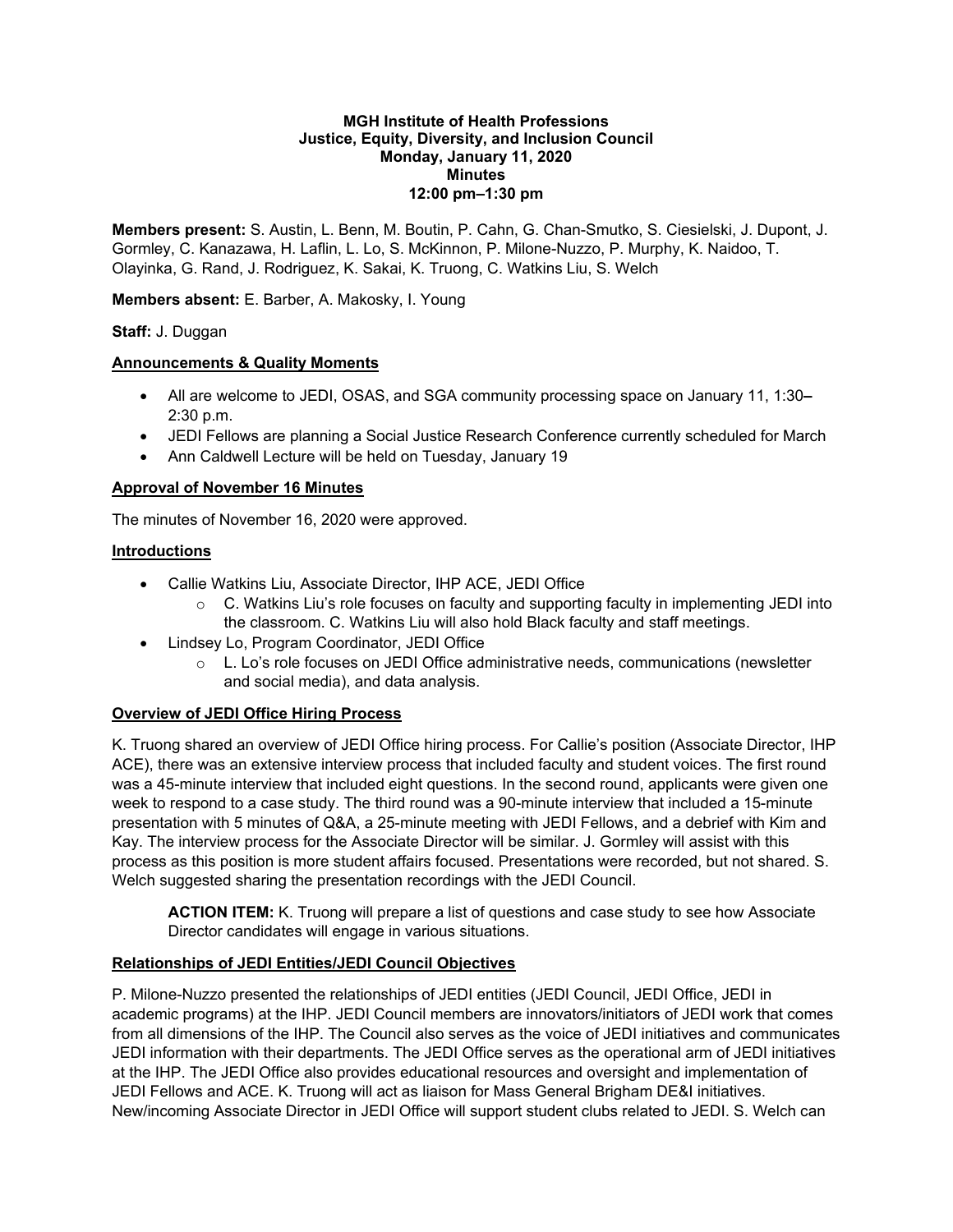#### **MGH Institute of Health Professions Justice, Equity, Diversity, and Inclusion Council Monday, January 11, 2020 Minutes 12:00 pm–1:30 pm**

**Members present:** S. Austin, L. Benn, M. Boutin, P. Cahn, G. Chan-Smutko, S. Ciesielski, J. Dupont, J. Gormley, C. Kanazawa, H. Laflin, L. Lo, S. McKinnon, P. Milone-Nuzzo, P. Murphy, K. Naidoo, T. Olayinka, G. Rand, J. Rodriguez, K. Sakai, K. Truong, C. Watkins Liu, S. Welch

**Members absent:** E. Barber, A. Makosky, I. Young

## **Staff:** J. Duggan

## **Announcements & Quality Moments**

- All are welcome to JEDI, OSAS, and SGA community processing space on January 11, 1:30**–** 2:30 p.m.
- JEDI Fellows are planning a Social Justice Research Conference currently scheduled for March
- Ann Caldwell Lecture will be held on Tuesday, January 19

# **Approval of November 16 Minutes**

The minutes of November 16, 2020 were approved.

# **Introductions**

- Callie Watkins Liu, Associate Director, IHP ACE, JEDI Office
	- $\circ$  C. Watkins Liu's role focuses on faculty and supporting faculty in implementing JEDI into the classroom. C. Watkins Liu will also hold Black faculty and staff meetings.
- Lindsey Lo, Program Coordinator, JEDI Office
	- o L. Lo's role focuses on JEDI Office administrative needs, communications (newsletter and social media), and data analysis.

# **Overview of JEDI Office Hiring Process**

K. Truong shared an overview of JEDI Office hiring process. For Callie's position (Associate Director, IHP ACE), there was an extensive interview process that included faculty and student voices. The first round was a 45-minute interview that included eight questions. In the second round, applicants were given one week to respond to a case study. The third round was a 90-minute interview that included a 15-minute presentation with 5 minutes of Q&A, a 25-minute meeting with JEDI Fellows, and a debrief with Kim and Kay. The interview process for the Associate Director will be similar. J. Gormley will assist with this process as this position is more student affairs focused. Presentations were recorded, but not shared. S. Welch suggested sharing the presentation recordings with the JEDI Council.

**ACTION ITEM:** K. Truong will prepare a list of questions and case study to see how Associate Director candidates will engage in various situations.

# **Relationships of JEDI Entities/JEDI Council Objectives**

P. Milone-Nuzzo presented the relationships of JEDI entities (JEDI Council, JEDI Office, JEDI in academic programs) at the IHP. JEDI Council members are innovators/initiators of JEDI work that comes from all dimensions of the IHP. The Council also serves as the voice of JEDI initiatives and communicates JEDI information with their departments. The JEDI Office serves as the operational arm of JEDI initiatives at the IHP. The JEDI Office also provides educational resources and oversight and implementation of JEDI Fellows and ACE. K. Truong will act as liaison for Mass General Brigham DE&I initiatives. New/incoming Associate Director in JEDI Office will support student clubs related to JEDI. S. Welch can